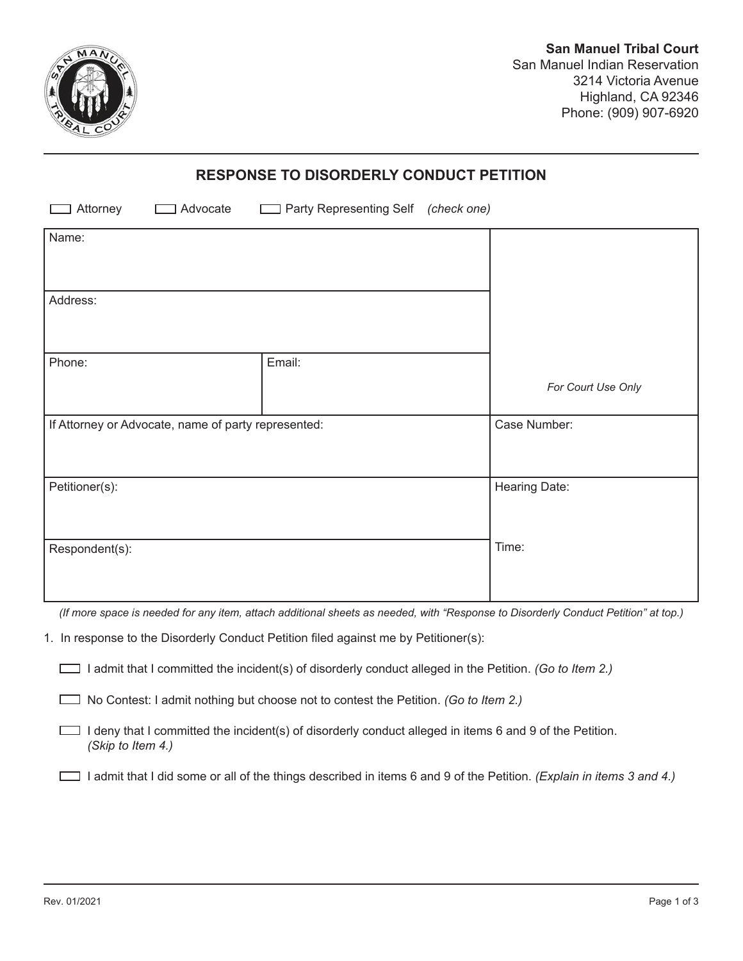

## **RESPONSE TO DISORDERLY CONDUCT PETITION**

| Attorney                                            | Advocate | Party Representing Self (check one) |  |                    |
|-----------------------------------------------------|----------|-------------------------------------|--|--------------------|
| Name:                                               |          |                                     |  |                    |
| Address:                                            |          |                                     |  |                    |
| Phone:                                              |          | Email:                              |  |                    |
|                                                     |          |                                     |  | For Court Use Only |
| If Attorney or Advocate, name of party represented: |          |                                     |  | Case Number:       |
| Petitioner(s):                                      |          |                                     |  | Hearing Date:      |
| Respondent(s):                                      |          |                                     |  | Time:              |

*(If more space is needed for any item, attach additional sheets as needed, with "Response to Disorderly Conduct Petition" at top.)* 

1. In response to the Disorderly Conduct Petition filed against me by Petitioner(s):

I admit that I committed the incident(s) of disorderly conduct alleged in the Petition. *(Go to Item 2.)* 

No Contest: I admit nothing but choose not to contest the Petition. *(Go to Item 2.)* 

- I deny that I committed the incident(s) of disorderly conduct alleged in items 6 and 9 of the Petition. *(Skip to Item 4.)*
- I admit that I did some or all of the things described in items 6 and 9 of the Petition. *(Explain in items 3 and 4.)*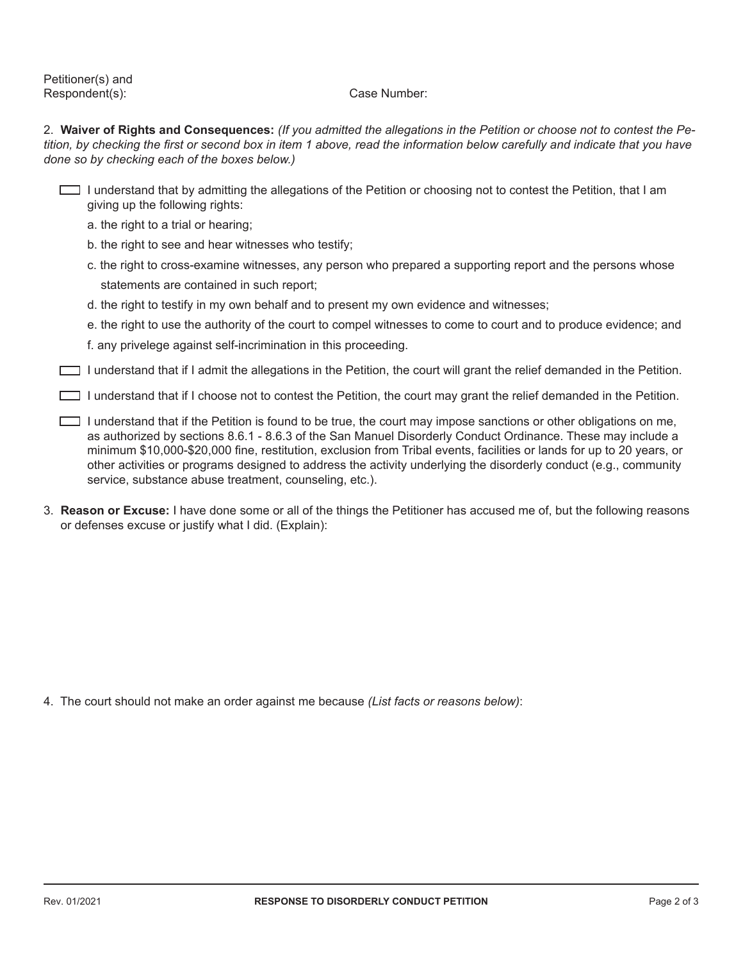Respondent(s): Case Number: Petitioner(s) and

2. **Waiver of Rights and Consequences:** *(If you admitted the allegations in the Petition or choose not to contest the Petition, by checking the first or second box in item 1 above, read the information below carefully and indicate that you have done so by checking each of the boxes below.)* 

- I understand that by admitting the allegations of the Petition or choosing not to contest the Petition, that I am giving up the following rights:
	- a. the right to a trial or hearing;
	- b. the right to see and hear witnesses who testify;
	- c. the right to cross-examine witnesses, any person who prepared a supporting report and the persons whose statements are contained in such report;
	- d. the right to testify in my own behalf and to present my own evidence and witnesses;
	- e. the right to use the authority of the court to compel witnesses to come to court and to produce evidence; and
	- f. any privelege against self-incrimination in this proceeding.
- I understand that if I admit the allegations in the Petition, the court will grant the relief demanded in the Petition.
- I understand that if I choose not to contest the Petition, the court may grant the relief demanded in the Petition.
- I understand that if the Petition is found to be true, the court may impose sanctions or other obligations on me, as authorized by sections 8.6.1 - 8.6.3 of the San Manuel Disorderly Conduct Ordinance. These may include a minimum \$10,000-\$20,000 fine, restitution, exclusion from Tribal events, facilities or lands for up to 20 years, or other activities or programs designed to address the activity underlying the disorderly conduct (e.g., community service, substance abuse treatment, counseling, etc.).
- 3. **Reason or Excuse:** I have done some or all of the things the Petitioner has accused me of, but the following reasons or defenses excuse or justify what I did. (Explain):

4. The court should not make an order against me because *(List facts or reasons below)*: